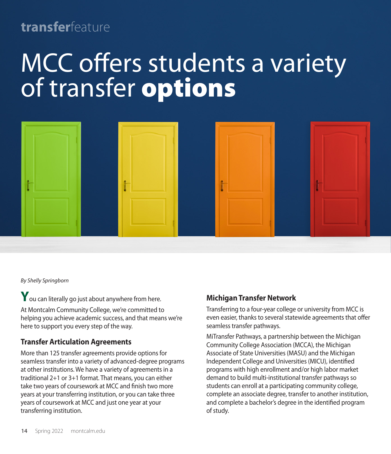# **transfer**feature

# MCC offers students a variety of transfer options



*By Shelly Springborn* 

**Y**ou can literally go just about anywhere from here. At Montcalm Community College, we're committed to helping you achieve academic success, and that means we're here to support you every step of the way.

# **Transfer Articulation Agreements**

More than 125 transfer agreements provide options for seamless transfer into a variety of advanced-degree programs at other institutions. We have a variety of agreements in a traditional 2+1 or 3+1 format. That means, you can either take two years of coursework at MCC and finish two more years at your transferring institution, or you can take three years of coursework at MCC and just one year at your transferring institution.

## **Michigan Transfer Network**

Transferring to a four-year college or university from MCC is even easier, thanks to several statewide agreements that offer seamless transfer pathways.

MiTransfer Pathways, a partnership between the Michigan Community College Association (MCCA), the Michigan Associate of State Universities (MASU) and the Michigan Independent College and Universities (MICU), identified programs with high enrollment and/or high labor market demand to build multi-institutional transfer pathways so students can enroll at a participating community college, complete an associate degree, transfer to another institution, and complete a bachelor's degree in the identified program of study.